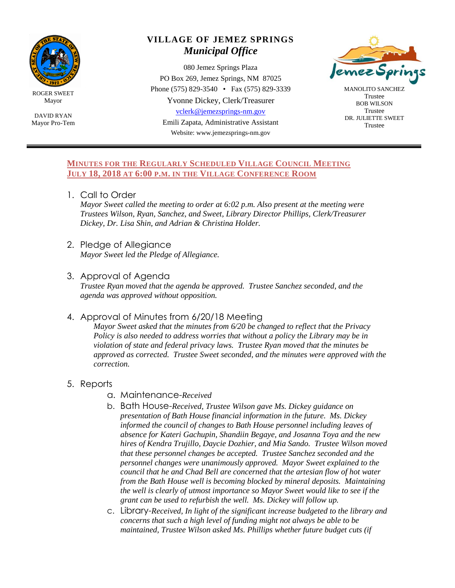

ROGER SWEET Mayor

DAVID RYAN Mayor Pro-Tem

# **VILLAGE OF JEMEZ SPRINGS** *Municipal Office*

080 Jemez Springs Plaza PO Box 269, Jemez Springs, NM 87025 Phone (575) 829-3540 • Fax (575) 829-3339 Yvonne Dickey, Clerk/Treasurer [vclerk@jemezsprings-nm.gov](mailto:vclerk@jemezsprings-nm.gov) Emili Zapata, Administrative Assistant

Website: www.jemezsprings-nm.gov



MANOLITO SANCHEZ Trustee BOB WILSON Trustee DR. JULIETTE SWEET Trustee

#### **MINUTES FOR THE REGULARLY SCHEDULED VILLAGE COUNCIL MEETING JULY 18, 2018 AT 6:00 P.M. IN THE VILLAGE CONFERENCE ROOM**

1. Call to Order

*Mayor Sweet called the meeting to order at 6:02 p.m. Also present at the meeting were Trustees Wilson, Ryan, Sanchez, and Sweet, Library Director Phillips, Clerk/Treasurer Dickey, Dr. Lisa Shin, and Adrian & Christina Holder.*

- 2. Pledge of Allegiance *Mayor Sweet led the Pledge of Allegiance.*
- 3. Approval of Agenda

*Trustee Ryan moved that the agenda be approved. Trustee Sanchez seconded, and the agenda was approved without opposition.*

## 4. Approval of Minutes from 6/20/18 Meeting

*Mayor Sweet asked that the minutes from 6/20 be changed to reflect that the Privacy Policy is also needed to address worries that without a policy the Library may be in violation of state and federal privacy laws. Trustee Ryan moved that the minutes be approved as corrected. Trustee Sweet seconded, and the minutes were approved with the correction.*

- 5. Reports
	- a. Maintenance-*Received*
	- b. Bath House-*Received, Trustee Wilson gave Ms. Dickey guidance on presentation of Bath House financial information in the future. Ms. Dickey informed the council of changes to Bath House personnel including leaves of absence for Kateri Gachupin, Shandiin Begaye, and Josanna Toya and the new hires of Kendra Trujillo, Daycie Dozhier, and Mia Sando. Trustee Wilson moved that these personnel changes be accepted. Trustee Sanchez seconded and the personnel changes were unanimously approved. Mayor Sweet explained to the council that he and Chad Bell are concerned that the artesian flow of hot water from the Bath House well is becoming blocked by mineral deposits. Maintaining the well is clearly of utmost importance so Mayor Sweet would like to see if the grant can be used to refurbish the well. Ms. Dickey will follow up.*
	- c. Library-*Received, In light of the significant increase budgeted to the library and concerns that such a high level of funding might not always be able to be maintained, Trustee Wilson asked Ms. Phillips whether future budget cuts (if*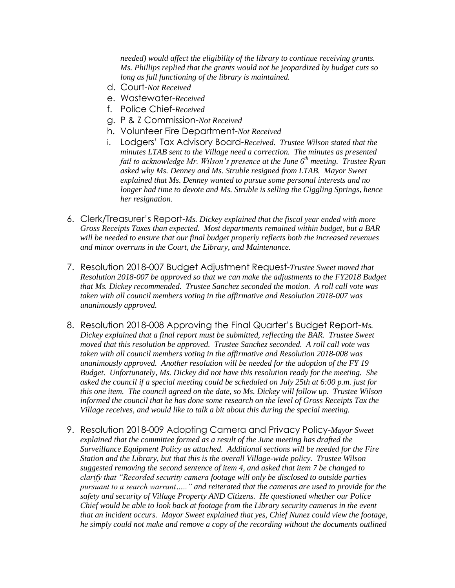*needed) would affect the eligibility of the library to continue receiving grants. Ms. Phillips replied that the grants would not be jeopardized by budget cuts so long as full functioning of the library is maintained.* 

- d. Court-*Not Received*
- e. Wastewater-*Received*
- f. Police Chief-*Received*
- g. P & Z Commission-*Not Received*
- h. Volunteer Fire Department-*Not Received*
- i. Lodgers' Tax Advisory Board-*Received. Trustee Wilson stated that the minutes LTAB sent to the Village need a correction. The minutes as presented fail to acknowledge Mr. Wilson's presence at the June 6th meeting. Trustee Ryan asked why Ms. Denney and Ms. Struble resigned from LTAB. Mayor Sweet explained that Ms. Denney wanted to pursue some personal interests and no longer had time to devote and Ms. Struble is selling the Giggling Springs, hence her resignation.*
- 6. Clerk/Treasurer's Report-*Ms. Dickey explained that the fiscal year ended with more Gross Receipts Taxes than expected. Most departments remained within budget, but a BAR will be needed to ensure that our final budget properly reflects both the increased revenues and minor overruns in the Court, the Library, and Maintenance.*
- 7. Resolution 2018-007 Budget Adjustment Request-*Trustee Sweet moved that Resolution 2018-007 be approved so that we can make the adjustments to the FY2018 Budget that Ms. Dickey recommended. Trustee Sanchez seconded the motion. A roll call vote was taken with all council members voting in the affirmative and Resolution 2018-007 was unanimously approved.*
- 8. Resolution 2018-008 Approving the Final Quarter's Budget Report-*Ms. Dickey explained that a final report must be submitted, reflecting the BAR. Trustee Sweet moved that this resolution be approved. Trustee Sanchez seconded. A roll call vote was taken with all council members voting in the affirmative and Resolution 2018-008 was unanimously approved. Another resolution will be needed for the adoption of the FY 19 Budget. Unfortunately, Ms. Dickey did not have this resolution ready for the meeting. She asked the council if a special meeting could be scheduled on July 25th at 6:00 p.m. just for this one item. The council agreed on the date, so Ms. Dickey will follow up. Trustee Wilson informed the council that he has done some research on the level of Gross Receipts Tax the Village receives, and would like to talk a bit about this during the special meeting.*
- 9. Resolution 2018-009 Adopting Camera and Privacy Policy-*Mayor Sweet explained that the committee formed as a result of the June meeting has drafted the Surveillance Equipment Policy as attached. Additional sections will be needed for the Fire Station and the Library, but that this is the overall Village-wide policy. Trustee Wilson suggested removing the second sentence of item 4, and asked that item 7 be changed to clarify that "Recorded security camera footage will only be disclosed to outside parties pursuant to a search warrant….." and reiterated that the cameras are used to provide for the safety and security of Village Property AND Citizens. He questioned whether our Police Chief would be able to look back at footage from the Library security cameras in the event that an incident occurs. Mayor Sweet explained that yes, Chief Nunez could view the footage, he simply could not make and remove a copy of the recording without the documents outlined*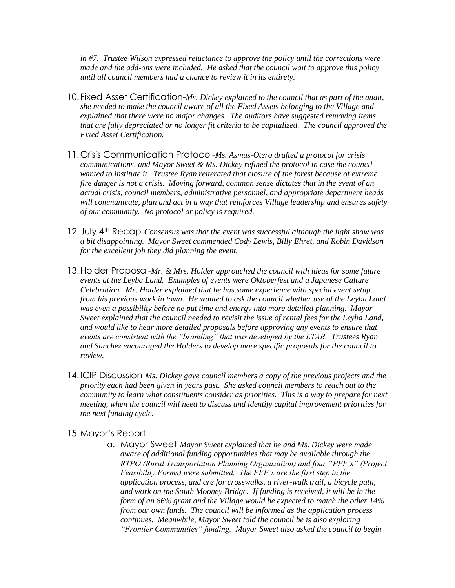*in #7. Trustee Wilson expressed reluctance to approve the policy until the corrections were made and the add-ons were included. He asked that the council wait to approve this policy until all council members had a chance to review it in its entirety.* 

- 10.Fixed Asset Certification-*Ms. Dickey explained to the council that as part of the audit, she needed to make the council aware of all the Fixed Assets belonging to the Village and explained that there were no major changes. The auditors have suggested removing items that are fully depreciated or no longer fit criteria to be capitalized. The council approved the Fixed Asset Certification.*
- 11.Crisis Communication Protocol-*Ms. Asmus-Otero drafted a protocol for crisis communications, and Mayor Sweet & Ms. Dickey refined the protocol in case the council wanted to institute it. Trustee Ryan reiterated that closure of the forest because of extreme fire danger is not a crisis. Moving forward, common sense dictates that in the event of an actual crisis, council members, administrative personnel, and appropriate department heads will communicate, plan and act in a way that reinforces Village leadership and ensures safety of our community. No protocol or policy is required.*
- 12.July 4th Recap-*Consensus was that the event was successful although the light show was a bit disappointing. Mayor Sweet commended Cody Lewis, Billy Ehret, and Robin Davidson for the excellent job they did planning the event.*
- 13.Holder Proposal-*Mr. & Mrs. Holder approached the council with ideas for some future events at the Leyba Land. Examples of events were Oktoberfest and a Japanese Culture Celebration. Mr. Holder explained that he has some experience with special event setup from his previous work in town. He wanted to ask the council whether use of the Leyba Land was even a possibility before he put time and energy into more detailed planning. Mayor Sweet explained that the council needed to revisit the issue of rental fees for the Leyba Land, and would like to hear more detailed proposals before approving any events to ensure that events are consistent with the "branding" that was developed by the LTAB. Trustees Ryan and Sanchez encouraged the Holders to develop more specific proposals for the council to review.*
- 14.ICIP Discussion-*Ms. Dickey gave council members a copy of the previous projects and the priority each had been given in years past. She asked council members to reach out to the community to learn what constituents consider as priorities. This is a way to prepare for next meeting, when the council will need to discuss and identify capital improvement priorities for the next funding cycle.*

#### 15.Mayor's Report

a. Mayor Sweet-*Mayor Sweet explained that he and Ms. Dickey were made aware of additional funding opportunities that may be available through the RTPO (Rural Transportation Planning Organization) and four "PFF's" (Project Feasibility Forms) were submitted. The PFF's are the first step in the application process, and are for crosswalks, a river-walk trail, a bicycle path, and work on the South Mooney Bridge. If funding is received, it will be in the form of an 86% grant and the Village would be expected to match the other 14% from our own funds. The council will be informed as the application process continues. Meanwhile, Mayor Sweet told the council he is also exploring "Frontier Communities" funding. Mayor Sweet also asked the council to begin*